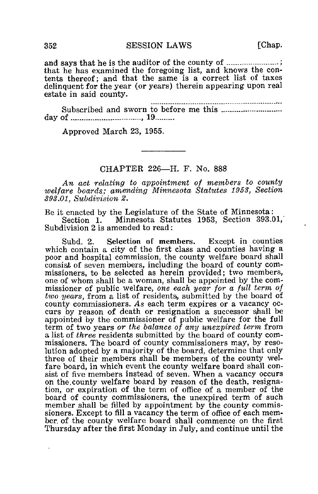352 SESSION LAWS [Chap.

and says that he is the auditor of the county of ...........................; that he has examined the foregoing list, and knows the contents thereof; and that the same is a correct list of taxes delinquent for the year (or years) therein appearing upon real estate in said county.

........................... Subscribed and sworn to before me this day of  $\ldots$   $\ldots$   $\ldots$   $\ldots$   $\ldots$   $\ldots$   $\ldots$   $\ldots$ 

Approved March 23, 1955.

## CHAPTER 226—H. F. No. 888

An act relating to appointment of members to county welfare boards,; amending Minnesota Statutes 1953, Section 393.01, Subdivision 2.

Be it enacted by the Legislature of the State of Minnesota:

Section 1. Minnesota Statutes 1953, Section 393.01,' Subdivision 2 is amended to read:

Subd. 2. Selection of members. Except in counties which contain a city of the first class and counties having a poor and hospital commission, the county welfare board shall consisit of seven members, including the board of county commissioners, to be selected as herein provided; two members, one of whom shall be a woman, shall be appointed by the commissioner of public welfare, one each year for a full term of two years, from a list of residents, submitted by the board of county commissioners. As each term expires or a vacancy occurs by reason of death or resignation a successor shall be appointed by the commissioner of public welfare for the full term of two years or the balance of any unexpired term from a list of three residents submitted by the board of county commissioners. The board of county commissioners may, by resolution adopted by a majority of the board, determine that only three of their members shall be members of the county welfare board, in which event the county welfare board shall consist of five members instead of seven. When a vacancy occurs on the,county welfare board by reason of the death, resignation, or expiration of the term of office of a member of the board of county commissjoners, the unexpired term of such member shall be filled by appointment by the county commissioners. Except to fill a vacancy the term of office of each member, of the county welfare board shall commence on the first Thursday after the first Monday in July, and continue until the